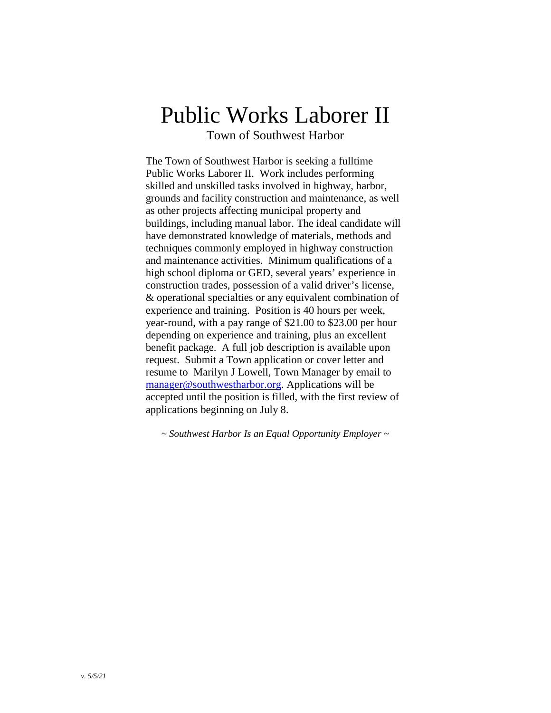# Public Works Laborer II

Town of Southwest Harbor

The Town of Southwest Harbor is seeking a fulltime Public Works Laborer II. Work includes performing skilled and unskilled tasks involved in highway, harbor, grounds and facility construction and maintenance, as well as other projects affecting municipal property and buildings, including manual labor. The ideal candidate will have demonstrated knowledge of materials, methods and techniques commonly employed in highway construction and maintenance activities. Minimum qualifications of a high school diploma or GED, several years' experience in construction trades, possession of a valid driver's license, & operational specialties or any equivalent combination of experience and training. Position is 40 hours per week, year-round, with a pay range of \$21.00 to \$23.00 per hour depending on experience and training, plus an excellent benefit package. A full job description is available upon request. Submit a Town application or cover letter and resume to Marilyn J Lowell, Town Manager by email to [manager@southwestharbor.org.](mailto:manager@southwestharbor.org) Applications will be accepted until the position is filled, with the first review of applications beginning on July 8.

*~ Southwest Harbor Is an Equal Opportunity Employer ~*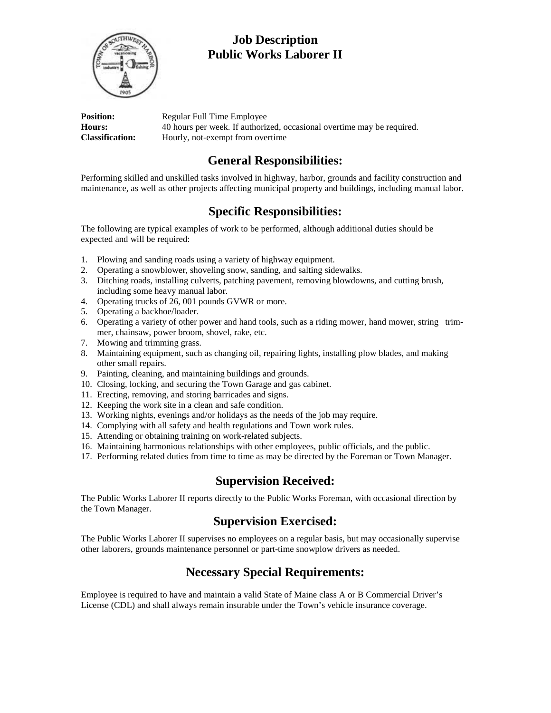

# **Job Description Public Works Laborer II**

| <b>Position:</b>       | Regular Full Time Employee                                             |
|------------------------|------------------------------------------------------------------------|
| <b>Hours:</b>          | 40 hours per week. If authorized, occasional overtime may be required. |
| <b>Classification:</b> | Hourly, not-exempt from overtime                                       |

#### **General Responsibilities:**

Performing skilled and unskilled tasks involved in highway, harbor, grounds and facility construction and maintenance, as well as other projects affecting municipal property and buildings, including manual labor.

## **Specific Responsibilities:**

The following are typical examples of work to be performed, although additional duties should be expected and will be required:

- 1. Plowing and sanding roads using a variety of highway equipment.
- 2. Operating a snowblower, shoveling snow, sanding, and salting sidewalks.
- 3. Ditching roads, installing culverts, patching pavement, removing blowdowns, and cutting brush, including some heavy manual labor.
- 4. Operating trucks of 26, 001 pounds GVWR or more.
- 5. Operating a backhoe/loader.
- 6. Operating a variety of other power and hand tools, such as a riding mower, hand mower, string trimmer, chainsaw, power broom, shovel, rake, etc.
- 7. Mowing and trimming grass.
- 8. Maintaining equipment, such as changing oil, repairing lights, installing plow blades, and making other small repairs.
- 9. Painting, cleaning, and maintaining buildings and grounds.
- 10. Closing, locking, and securing the Town Garage and gas cabinet.
- 11. Erecting, removing, and storing barricades and signs.
- 12. Keeping the work site in a clean and safe condition.
- 13. Working nights, evenings and/or holidays as the needs of the job may require.
- 14. Complying with all safety and health regulations and Town work rules.
- 15. Attending or obtaining training on work-related subjects.
- 16. Maintaining harmonious relationships with other employees, public officials, and the public.
- 17. Performing related duties from time to time as may be directed by the Foreman or Town Manager.

#### **Supervision Received:**

The Public Works Laborer II reports directly to the Public Works Foreman, with occasional direction by the Town Manager.

#### **Supervision Exercised:**

The Public Works Laborer II supervises no employees on a regular basis, but may occasionally supervise other laborers, grounds maintenance personnel or part-time snowplow drivers as needed.

## **Necessary Special Requirements:**

Employee is required to have and maintain a valid State of Maine class A or B Commercial Driver's License (CDL) and shall always remain insurable under the Town's vehicle insurance coverage.